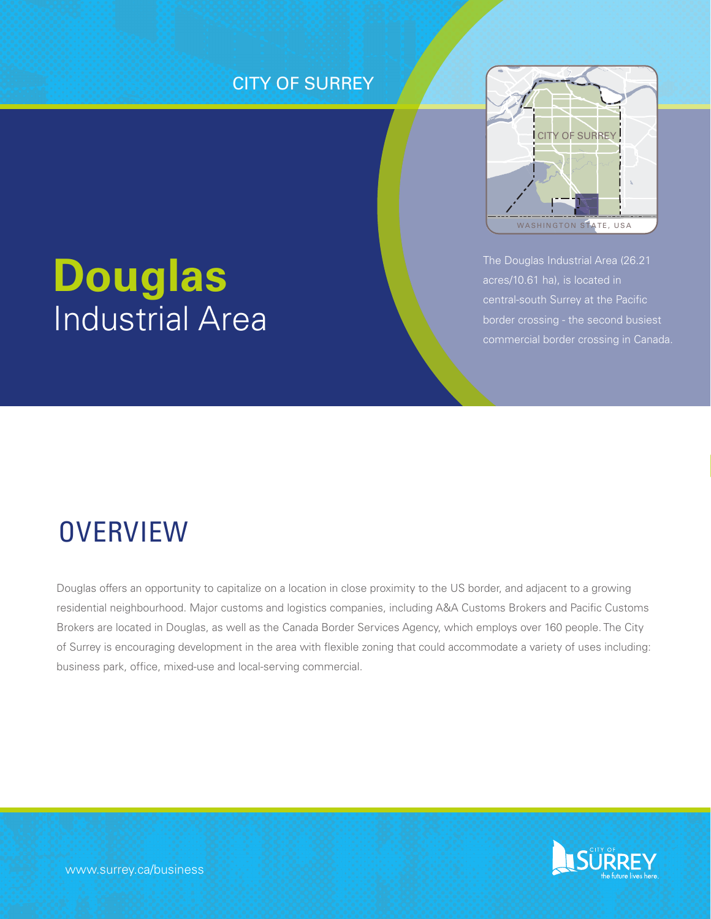## **CITY OF SURREY**



## The Douglas Industrial Area (26.21 acres/10.61 ha), is located in border crossing - the second busiest commercial border crossing in Canada.

# **Douglas** Industrial Area

## **OVERVIEW**

Douglas offers an opportunity to capitalize on a location in close proximity to the US border, and adjacent to a growing residential neighbourhood. Major customs and logistics companies, including A&A Customs Brokers and Pacific Customs Brokers are located in Douglas, as well as the Canada Border Services Agency, which employs over 160 people. The City of Surrey is encouraging development in the area with flexible zoning that could accommodate a variety of uses including: business park, office, mixed-use and local-serving commercial.

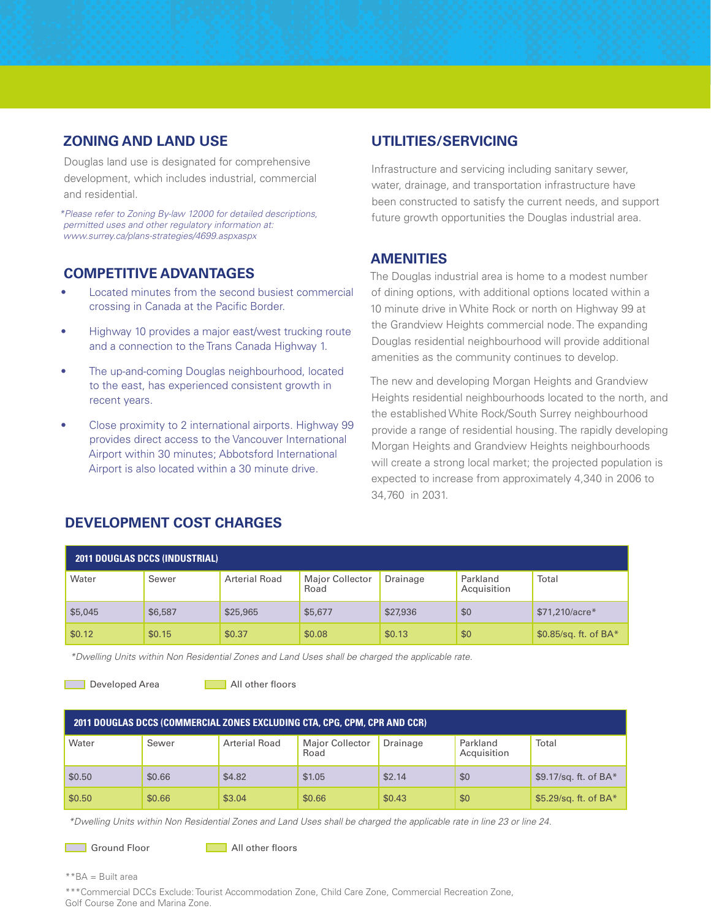#### **ZONING AND LAND USE**

Douglas land use is designated for comprehensive development, which includes industrial, commercial and residential.

*\*Please refer to Zoning By-law 12000 for detailed descriptions, permitted uses and other regulatory information at: www.surrey.ca/plans-strategies/4699.aspxaspx*

#### **COMPETITIVE ADVANTAGES**

- Located minutes from the second busiest commercial crossing in Canada at the Pacific Border.
- Highway 10 provides a major east/west trucking route and a connection to the Trans Canada Highway 1.
- The up-and-coming Douglas neighbourhood, located to the east, has experienced consistent growth in recent years.
- Close proximity to 2 international airports. Highway 99 provides direct access to the Vancouver International Airport within 30 minutes; Abbotsford International Airport is also located within a 30 minute drive.

#### **UTILITIES/SERVICING**

Infrastructure and servicing including sanitary sewer, water, drainage, and transportation infrastructure have been constructed to satisfy the current needs, and support future growth opportunities the Douglas industrial area.

#### **AMENITIES**

The Douglas industrial area is home to a modest number of dining options, with additional options located within a 10 minute drive in White Rock or north on Highway 99 at the Grandview Heights commercial node. The expanding Douglas residential neighbourhood will provide additional amenities as the community continues to develop.

The new and developing Morgan Heights and Grandview Heights residential neighbourhoods located to the north, and the established White Rock/South Surrey neighbourhood provide a range of residential housing. The rapidly developing Morgan Heights and Grandview Heights neighbourhoods will create a strong local market; the projected population is expected to increase from approximately 4,340 in 2006 to 34,760 in 2031.

| <b>2011 DOUGLAS DCCS (INDUSTRIAL)</b> |         |                      |                         |          |                         |                         |  |
|---------------------------------------|---------|----------------------|-------------------------|----------|-------------------------|-------------------------|--|
| Water                                 | Sewer   | <b>Arterial Road</b> | Major Collector<br>Road | Drainage | Parkland<br>Acquisition | Total                   |  |
| \$5,045                               | \$6,587 | \$25,965             | \$5,677                 | \$27,936 | \$0                     | \$71,210/acre*          |  |
| \$0.12                                | \$0.15  | \$0.37               | \$0.08                  | \$0.13   | \$0                     | $$0.85$ /sq. ft. of BA* |  |

*\*Dwelling Units within Non Residential Zones and Land Uses shall be charged the applicable rate.* 

Developed Area **All other floors** 

| 2011 DOUGLAS DCCS (COMMERCIAL ZONES EXCLUDING CTA, CPG, CPM, CPR AND CCR) |        |                      |                         |          |                         |                         |  |
|---------------------------------------------------------------------------|--------|----------------------|-------------------------|----------|-------------------------|-------------------------|--|
| Water                                                                     | Sewer  | <b>Arterial Road</b> | Major Collector<br>Road | Drainage | Parkland<br>Acquisition | Total                   |  |
| \$0.50                                                                    | \$0.66 | \$4.82               | \$1.05                  | \$2.14   | \$0                     | \$9.17/sq. ft. of $BA*$ |  |
| \$0.50                                                                    | \$0.66 | \$3.04               | \$0.66                  | \$0.43   | \$0                     | \$5.29/sq. ft. of $BA*$ |  |

*\*Dwelling Units within Non Residential Zones and Land Uses shall be charged the applicable rate in line 23 or line 24.*

Ground Floor **All other floors** 

\*\*BA = Built area

\*\*\*Commercial DCCs Exclude: Tourist Accommodation Zone, Child Care Zone, Commercial Recreation Zone, Golf Course Zone and Marina Zone.

#### **DEVELOPMENT COST CHARGES**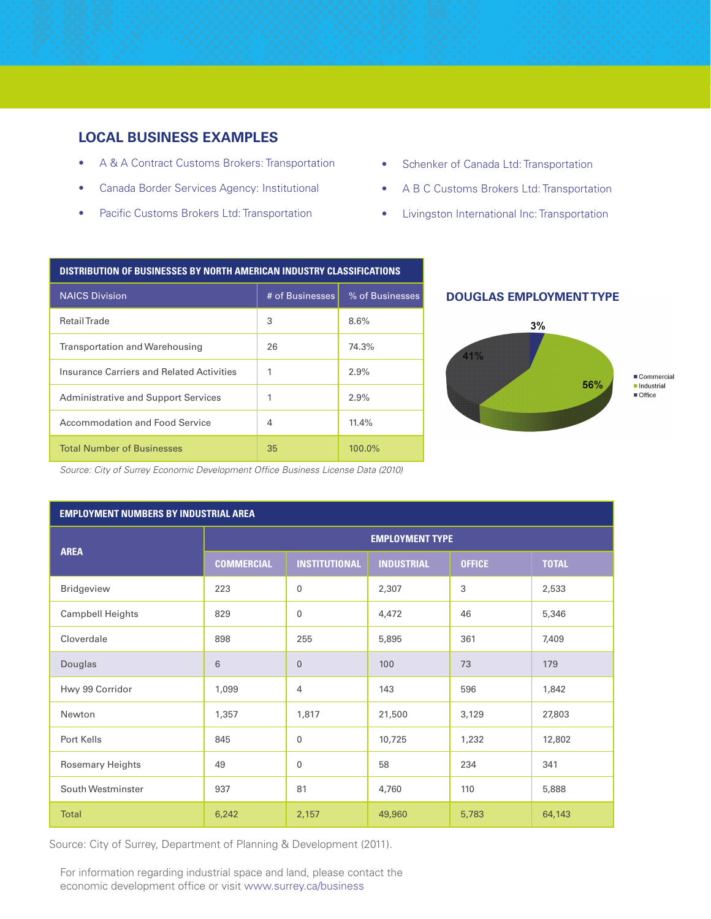#### **LOCAL BUSINESS EXAMPLES**

- A & A Contract Customs Brokers: Transportation
- Canada Border Services Agency: Institutional
- Pacific Customs Brokers Ltd: Transportation
- Schenker of Canada Ltd: Transportation
- A B C Customs Brokers Ltd: Transportation
- Livingston International Inc: Transportation

#### **Distribution of Businesses by North American Industry Classifications**

| <b>NAICS Division</b>                      | # of Businesses | % of Businesses |  |
|--------------------------------------------|-----------------|-----------------|--|
| <b>RetailTrade</b>                         | 3               | 8.6%            |  |
| <b>Transportation and Warehousing</b>      | 26              | 74.3%           |  |
| Insurance Carriers and Related Activities  | 1               | 2.9%            |  |
| <b>Administrative and Support Services</b> | 1               | 2.9%            |  |
| Accommodation and Food Service             | 4               | 11.4%           |  |
| <b>Total Number of Businesses</b>          | 35              | 100.0%          |  |

#### **douglas Employment Type**



*Source: City of Surrey Economic Development Office Business License Data (2010)*

| <b>EMPLOYMENT NUMBERS BY INDUSTRIAL AREA</b> |                        |                      |                   |               |              |  |
|----------------------------------------------|------------------------|----------------------|-------------------|---------------|--------------|--|
|                                              | <b>EMPLOYMENT TYPE</b> |                      |                   |               |              |  |
| <b>AREA</b>                                  | <b>COMMERCIAL</b>      | <b>INSTITUTIONAL</b> | <b>INDUSTRIAL</b> | <b>OFFICE</b> | <b>TOTAL</b> |  |
| Bridgeview                                   | 223                    | 0                    | 2,307             | 3             | 2,533        |  |
| Campbell Heights                             | 829                    | $\mathbf 0$          | 4,472             | 46            | 5,346        |  |
| Cloverdale                                   | 898                    | 255                  | 5,895             | 361           | 7,409        |  |
| Douglas                                      | $6\phantom{1}$         | $\overline{0}$       | 100               | 73            | 179          |  |
| Hwy 99 Corridor                              | 1,099                  | 4                    | 143               | 596           | 1,842        |  |
| Newton                                       | 1,357                  | 1,817                | 21,500            | 3,129         | 27,803       |  |
| Port Kells                                   | 845                    | 0                    | 10,725            | 1,232         | 12,802       |  |
| Rosemary Heights                             | 49                     | $\mathbf 0$          | 58                | 234           | 341          |  |
| South Westminster                            | 937                    | 81                   | 4,760             | 110           | 5,888        |  |
| <b>Total</b>                                 | 6,242                  | 2,157                | 49,960            | 5,783         | 64,143       |  |

Source: City of Surrey, Department of Planning & Development (2011).

For information regarding industrial space and land, please contact the economic development office or visit www.surrey.ca/business